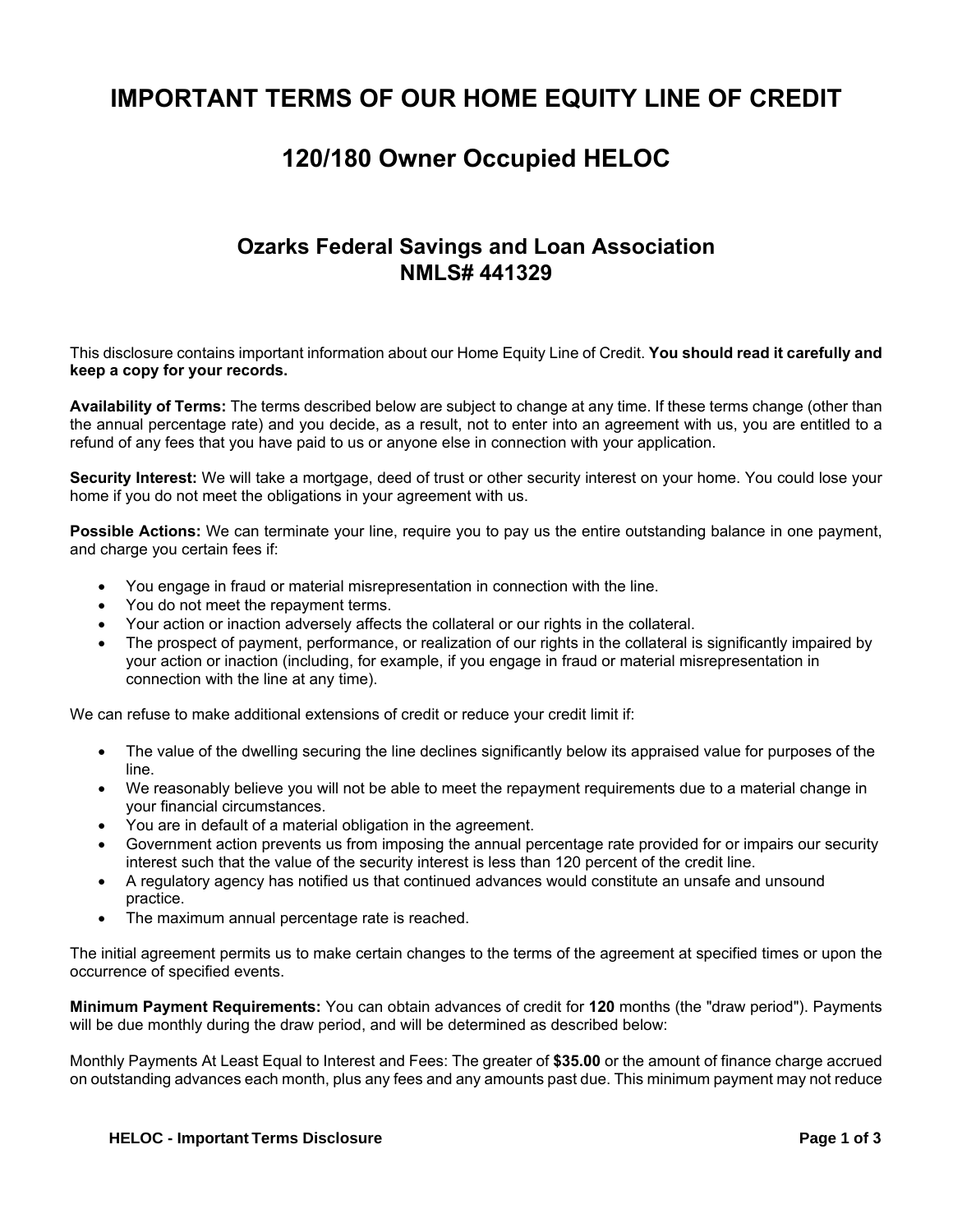## **IMPORTANT TERMS OF OUR HOME EQUITY LINE OF CREDIT**

## **120/180 Owner Occupied HELOC**

## **Ozarks Federal Savings and Loan Association NMLS# 441329**

This disclosure contains important information about our Home Equity Line of Credit. **You should read it carefully and keep a copy for your records.** 

**Availability of Terms:** The terms described below are subject to change at any time. If these terms change (other than the annual percentage rate) and you decide, as a result, not to enter into an agreement with us, you are entitled to a refund of any fees that you have paid to us or anyone else in connection with your application.

**Security Interest:** We will take a mortgage, deed of trust or other security interest on your home. You could lose your home if you do not meet the obligations in your agreement with us.

**Possible Actions:** We can terminate your line, require you to pay us the entire outstanding balance in one payment, and charge you certain fees if:

- You engage in fraud or material misrepresentation in connection with the line.
- You do not meet the repayment terms.
- Your action or inaction adversely affects the collateral or our rights in the collateral.
- The prospect of payment, performance, or realization of our rights in the collateral is significantly impaired by your action or inaction (including, for example, if you engage in fraud or material misrepresentation in connection with the line at any time).

We can refuse to make additional extensions of credit or reduce your credit limit if:

- The value of the dwelling securing the line declines significantly below its appraised value for purposes of the line.
- We reasonably believe you will not be able to meet the repayment requirements due to a material change in your financial circumstances.
- You are in default of a material obligation in the agreement.
- Government action prevents us from imposing the annual percentage rate provided for or impairs our security interest such that the value of the security interest is less than 120 percent of the credit line.
- A regulatory agency has notified us that continued advances would constitute an unsafe and unsound practice.
- The maximum annual percentage rate is reached.

The initial agreement permits us to make certain changes to the terms of the agreement at specified times or upon the occurrence of specified events.

**Minimum Payment Requirements:** You can obtain advances of credit for **120** months (the "draw period"). Payments will be due monthly during the draw period, and will be determined as described below:

Monthly Payments At Least Equal to Interest and Fees: The greater of **\$35.00** or the amount of finance charge accrued on outstanding advances each month, plus any fees and any amounts past due. This minimum payment may not reduce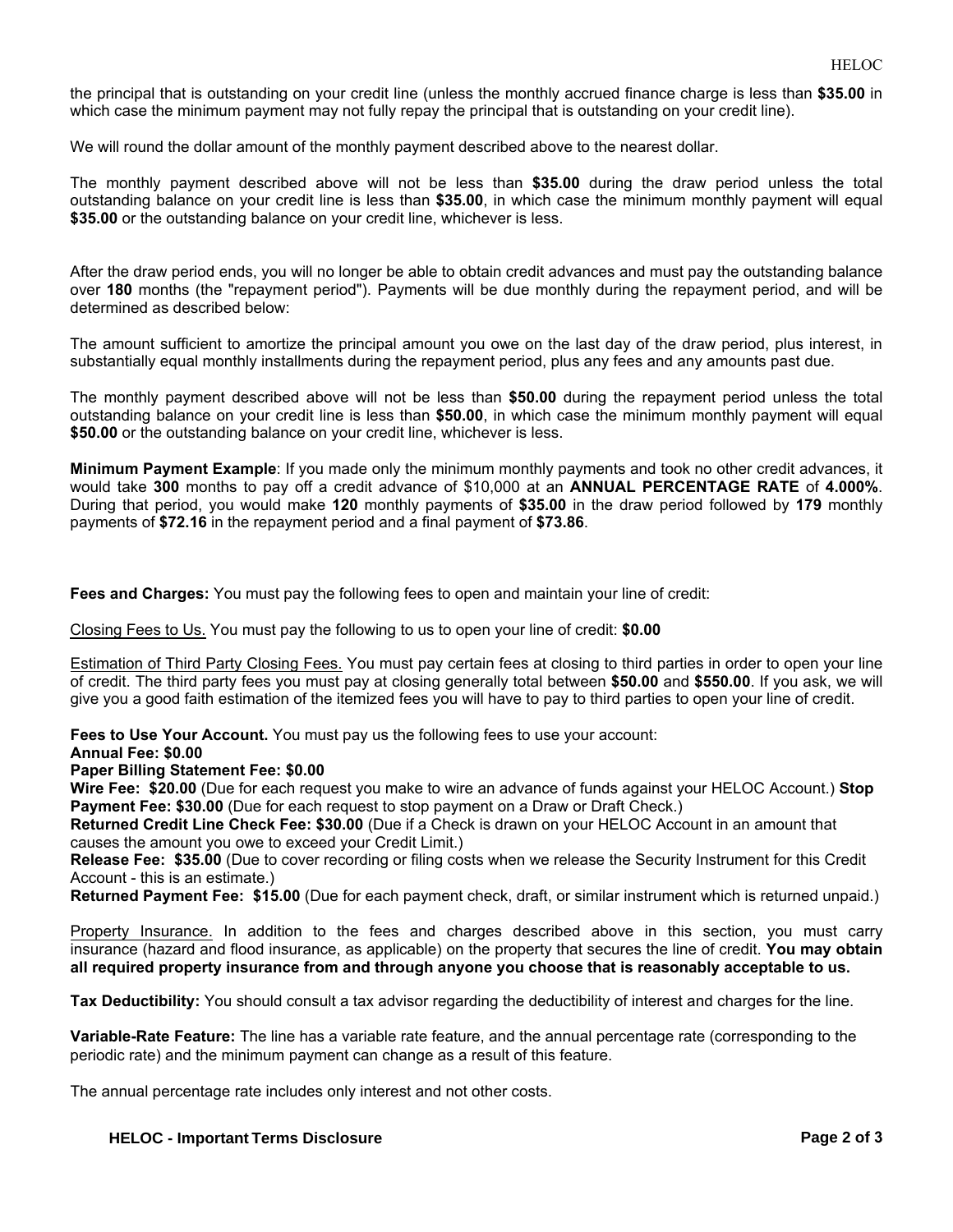the principal that is outstanding on your credit line (unless the monthly accrued finance charge is less than **\$35.00** in which case the minimum payment may not fully repay the principal that is outstanding on your credit line).

We will round the dollar amount of the monthly payment described above to the nearest dollar.

The monthly payment described above will not be less than **\$35.00** during the draw period unless the total outstanding balance on your credit line is less than **\$35.00**, in which case the minimum monthly payment will equal **\$35.00** or the outstanding balance on your credit line, whichever is less.

After the draw period ends, you will no longer be able to obtain credit advances and must pay the outstanding balance over **180** months (the "repayment period"). Payments will be due monthly during the repayment period, and will be determined as described below:

The amount sufficient to amortize the principal amount you owe on the last day of the draw period, plus interest, in substantially equal monthly installments during the repayment period, plus any fees and any amounts past due.

The monthly payment described above will not be less than **\$50.00** during the repayment period unless the total outstanding balance on your credit line is less than **\$50.00**, in which case the minimum monthly payment will equal **\$50.00** or the outstanding balance on your credit line, whichever is less.

**Minimum Payment Example**: If you made only the minimum monthly payments and took no other credit advances, it would take **300** months to pay off a credit advance of \$10,000 at an **ANNUAL PERCENTAGE RATE** of **4.000%**. During that period, you would make **120** monthly payments of **\$35.00** in the draw period followed by **179** monthly payments of **\$72.16** in the repayment period and a final payment of **\$73.86**.

**Fees and Charges:** You must pay the following fees to open and maintain your line of credit:

Closing Fees to Us. You must pay the following to us to open your line of credit: **\$0.00**

Estimation of Third Party Closing Fees. You must pay certain fees at closing to third parties in order to open your line of credit. The third party fees you must pay at closing generally total between **\$50.00** and **\$550.00**. If you ask, we will give you a good faith estimation of the itemized fees you will have to pay to third parties to open your line of credit.

**Fees to Use Your Account.** You must pay us the following fees to use your account:

**Annual Fee: \$0.00**

**Paper Billing Statement Fee: \$0.00**

**Wire Fee: \$20.00** (Due for each request you make to wire an advance of funds against your HELOC Account.) **Stop Payment Fee: \$30.00** (Due for each request to stop payment on a Draw or Draft Check.)

**Returned Credit Line Check Fee: \$30.00** (Due if a Check is drawn on your HELOC Account in an amount that causes the amount you owe to exceed your Credit Limit.)

**Release Fee: \$35.00** (Due to cover recording or filing costs when we release the Security Instrument for this Credit Account - this is an estimate.)

**Returned Payment Fee: \$15.00** (Due for each payment check, draft, or similar instrument which is returned unpaid.)

Property Insurance. In addition to the fees and charges described above in this section, you must carry insurance (hazard and flood insurance, as applicable) on the property that secures the line of credit. **You may obtain all required property insurance from and through anyone you choose that is reasonably acceptable to us.**

**Tax Deductibility:** You should consult a tax advisor regarding the deductibility of interest and charges for the line.

**Variable-Rate Feature:** The line has a variable rate feature, and the annual percentage rate (corresponding to the periodic rate) and the minimum payment can change as a result of this feature.

The annual percentage rate includes only interest and not other costs.